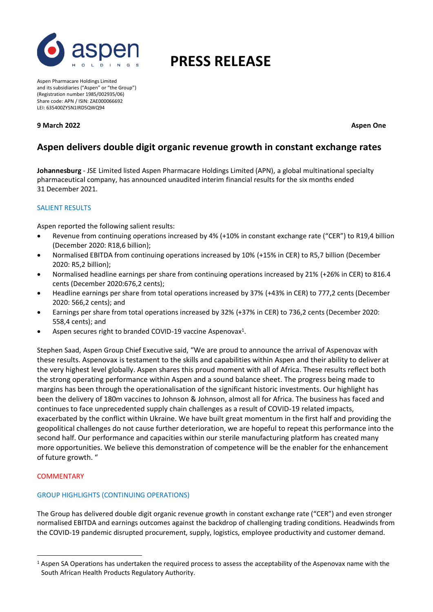

# **PRESS RELEASE**

Aspen Pharmacare Holdings Limited and its subsidiaries ("Aspen" or "the Group") (Registration number 1985/002935/06) Share code: APN / ISIN: ZAE000066692 LEI: 635400ZYSN1IRD5QWQ94

**9 March 2022 Aspen One**

# **Aspen delivers double digit organic revenue growth in constant exchange rates**

**Johannesburg** - JSE Limited listed Aspen Pharmacare Holdings Limited (APN), a global multinational specialty pharmaceutical company, has announced unaudited interim financial results for the six months ended 31 December 2021.

# SALIENT RESULTS

Aspen reported the following salient results:

- Revenue from continuing operations increased by 4% (+10% in constant exchange rate ("CER") to R19,4 billion (December 2020: R18,6 billion);
- Normalised EBITDA from continuing operations increased by 10% (+15% in CER) to R5,7 billion (December 2020: R5,2 billion);
- Normalised headline earnings per share from continuing operations increased by 21% (+26% in CER) to 816.4 cents (December 2020:676,2 cents);
- Headline earnings per share from total operations increased by 37% (+43% in CER) to 777,2 cents (December 2020: 566,2 cents); and
- Earnings per share from total operations increased by 32% (+37% in CER) to 736,2 cents (December 2020: 558,4 cents); and
- Aspen secures right to branded COVID-19 vaccine Aspenovax<sup>1</sup>.

Stephen Saad, Aspen Group Chief Executive said, "We are proud to announce the arrival of Aspenovax with these results. Aspenovax is testament to the skills and capabilities within Aspen and their ability to deliver at the very highest level globally. Aspen shares this proud moment with all of Africa. These results reflect both the strong operating performance within Aspen and a sound balance sheet. The progress being made to margins has been through the operationalisation of the significant historic investments. Our highlight has been the delivery of 180m vaccines to Johnson & Johnson, almost all for Africa. The business has faced and continues to face unprecedented supply chain challenges as a result of COVID-19 related impacts, exacerbated by the conflict within Ukraine. We have built great momentum in the first half and providing the geopolitical challenges do not cause further deterioration, we are hopeful to repeat this performance into the second half. Our performance and capacities within our sterile manufacturing platform has created many more opportunities. We believe this demonstration of competence will be the enabler for the enhancement of future growth. "

# **COMMENTARY**

# GROUP HIGHLIGHTS (CONTINUING OPERATIONS)

The Group has delivered double digit organic revenue growth in constant exchange rate ("CER") and even stronger normalised EBITDA and earnings outcomes against the backdrop of challenging trading conditions. Headwinds from the COVID-19 pandemic disrupted procurement, supply, logistics, employee productivity and customer demand.

 $1$  Aspen SA Operations has undertaken the required process to assess the acceptability of the Aspenovax name with the South African Health Products Regulatory Authority.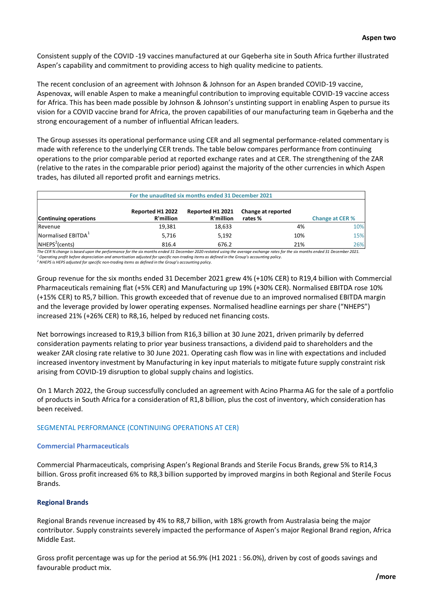Consistent supply of the COVID -19 vaccines manufactured at our Gqeberha site in South Africa further illustrated Aspen's capability and commitment to providing access to high quality medicine to patients.

The recent conclusion of an agreement with Johnson & Johnson for an Aspen branded COVID-19 vaccine, Aspenovax, will enable Aspen to make a meaningful contribution to improving equitable COVID-19 vaccine access for Africa. This has been made possible by Johnson & Johnson's unstinting support in enabling Aspen to pursue its vision for a COVID vaccine brand for Africa, the proven capabilities of our manufacturing team in Gqeberha and the strong encouragement of a number of influential African leaders.

The Group assesses its operational performance using CER and all segmental performance-related commentary is made with reference to the underlying CER trends. The table below compares performance from continuing operations to the prior comparable period at reported exchange rates and at CER. The strengthening of the ZAR (relative to the rates in the comparable prior period) against the majority of the other currencies in which Aspen trades, has diluted all reported profit and earnings metrics.

| For the unaudited six months ended 31 December 2021 |                               |                               |                               |                        |
|-----------------------------------------------------|-------------------------------|-------------------------------|-------------------------------|------------------------|
| <b>Continuing operations</b>                        | Reported H1 2022<br>R'million | Reported H1 2021<br>R'million | Change at reported<br>rates % | <b>Change at CER %</b> |
| Revenue                                             | 19,381                        | 18,633                        | 4%                            | 10%                    |
| Normalised EBITDA <sup>1</sup>                      | 5,716                         | 5,192                         | 10%                           | 15%                    |
| NHEPS <sup>2</sup> (cents)                          | 816.4                         | 676.2                         | 21%                           | 26%                    |

*The CER % change is based upon the performance for the six months ended 31 December 2020 restated using the average exchange rates for the six months ended 31 December 2021. <sup>1</sup> Operating profit before depreciation and amortisation adjusted for specific non-trading items as defined in the Group's accounting policy.*

*<sup>2</sup> NHEPS is HEPS adjusted for specific non-trading items as defined in the Group's accounting policy.*

Group revenue for the six months ended 31 December 2021 grew 4% (+10% CER) to R19,4 billion with Commercial Pharmaceuticals remaining flat (+5% CER) and Manufacturing up 19% (+30% CER). Normalised EBITDA rose 10% (+15% CER) to R5,7 billion. This growth exceeded that of revenue due to an improved normalised EBITDA margin and the leverage provided by lower operating expenses. Normalised headline earnings per share ("NHEPS") increased 21% (+26% CER) to R8,16, helped by reduced net financing costs.

Net borrowings increased to R19,3 billion from R16,3 billion at 30 June 2021, driven primarily by deferred consideration payments relating to prior year business transactions, a dividend paid to shareholders and the weaker ZAR closing rate relative to 30 June 2021. Operating cash flow was in line with expectations and included increased inventory investment by Manufacturing in key input materials to mitigate future supply constraint risk arising from COVID-19 disruption to global supply chains and logistics. **Exported H1 2022 Reported H1 2022 Reported H1 2022 Reported H1 2022 Change at CER %**<br> **17.63 18.6 5.18 5.18 5.18 5.19 18.63 19.62 10%**<br> **17.62 17.62 18.64 5.19 18.62 17.62 17.62 17.62** 

On 1 March 2022, the Group successfully concluded an agreement with Acino Pharma AG for the sale of a portfolio of products in South Africa for a consideration of R1,8 billion, plus the cost of inventory, which consideration has been received.

# SEGMENTAL PERFORMANCE (CONTINUING OPERATIONS AT CER)

# **Commercial Pharmaceuticals**

Commercial Pharmaceuticals, comprising Aspen's Regional Brands and Sterile Focus Brands, grew 5% to R14,3 billion. Gross profit increased 6% to R8,3 billion supported by improved margins in both Regional and Sterile Focus Brands.

# **Regional Brands**

Regional Brands revenue increased by 4% to R8,7 billion, with 18% growth from Australasia being the major contributor. Supply constraints severely impacted the performance of Aspen's major Regional Brand region, Africa Middle East.

Gross profit percentage was up for the period at 56.9% (H1 2021 : 56.0%), driven by cost of goods savings and favourable product mix.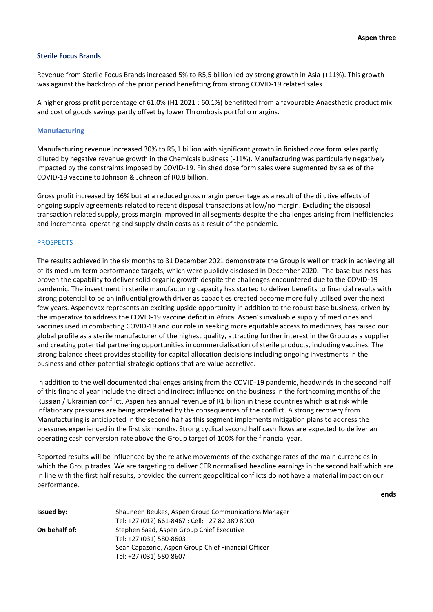#### **Sterile Focus Brands**

Revenue from Sterile Focus Brands increased 5% to R5,5 billion led by strong growth in Asia (+11%). This growth was against the backdrop of the prior period benefitting from strong COVID-19 related sales.

A higher gross profit percentage of 61.0% (H1 2021 : 60.1%) benefitted from a favourable Anaesthetic product mix and cost of goods savings partly offset by lower Thrombosis portfolio margins.

#### **Manufacturing**

Manufacturing revenue increased 30% to R5,1 billion with significant growth in finished dose form sales partly diluted by negative revenue growth in the Chemicals business (-11%). Manufacturing was particularly negatively impacted by the constraints imposed by COVID-19. Finished dose form sales were augmented by sales of the COVID-19 vaccine to Johnson & Johnson of R0,8 billion.

Gross profit increased by 16% but at a reduced gross margin percentage as a result of the dilutive effects of ongoing supply agreements related to recent disposal transactions at low/no margin. Excluding the disposal transaction related supply, gross margin improved in all segments despite the challenges arising from inefficiencies and incremental operating and supply chain costs as a result of the pandemic.

#### PROSPECTS

The results achieved in the six months to 31 December 2021 demonstrate the Group is well on track in achieving all of its medium-term performance targets, which were publicly disclosed in December 2020. The base business has proven the capability to deliver solid organic growth despite the challenges encountered due to the COVID-19 pandemic. The investment in sterile manufacturing capacity has started to deliver benefits to financial results with strong potential to be an influential growth driver as capacities created become more fully utilised over the next few years. Aspenovax represents an exciting upside opportunity in addition to the robust base business, driven by the imperative to address the COVID-19 vaccine deficit in Africa. Aspen's invaluable supply of medicines and vaccines used in combatting COVID-19 and our role in seeking more equitable access to medicines, has raised our global profile as a sterile manufacturer of the highest quality, attracting further interest in the Group as a supplier and creating potential partnering opportunities in commercialisation of sterile products, including vaccines. The strong balance sheet provides stability for capital allocation decisions including ongoing investments in the business and other potential strategic options that are value accretive.

In addition to the well documented challenges arising from the COVID-19 pandemic, headwinds in the second half of this financial year include the direct and indirect influence on the business in the forthcoming months of the Russian / Ukrainian conflict. Aspen has annual revenue of R1 billion in these countries which is at risk while inflationary pressures are being accelerated by the consequences of the conflict. A strong recovery from Manufacturing is anticipated in the second half as this segment implements mitigation plans to address the pressures experienced in the first six months. Strong cyclical second half cash flows are expected to deliver an operating cash conversion rate above the Group target of 100% for the financial year.

Reported results will be influenced by the relative movements of the exchange rates of the main currencies in which the Group trades. We are targeting to deliver CER normalised headline earnings in the second half which are in line with the first half results, provided the current geopolitical conflicts do not have a material impact on our performance.

**ends**

| <b>Issued by:</b> | Shauneen Beukes, Aspen Group Communications Manager |  |  |  |
|-------------------|-----------------------------------------------------|--|--|--|
|                   | Tel: +27 (012) 661-8467 : Cell: +27 82 389 8900     |  |  |  |
| On behalf of:     | Stephen Saad, Aspen Group Chief Executive           |  |  |  |
|                   | Tel: +27 (031) 580-8603                             |  |  |  |
|                   | Sean Capazorio, Aspen Group Chief Financial Officer |  |  |  |
|                   | Tel: +27 (031) 580-8607                             |  |  |  |